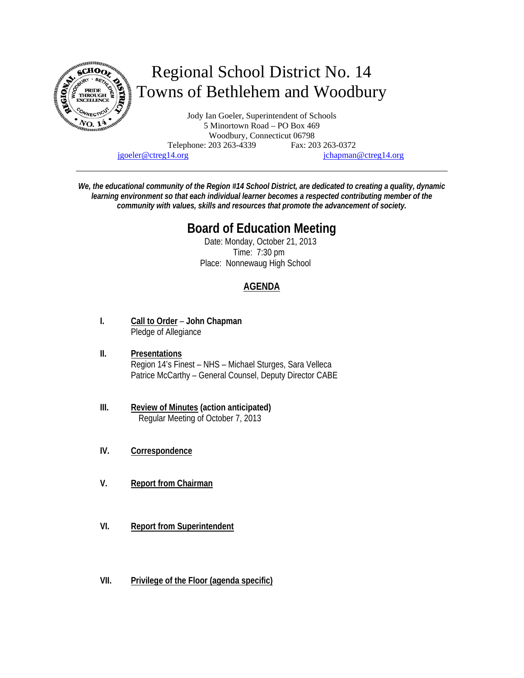

jgoeler@ctreg14.org jchapman@ctreg14.org

*We, the educational community of the Region #14 School District, are dedicated to creating a quality, dynamic learning environment so that each individual learner becomes a respected contributing member of the community with values, skills and resources that promote the advancement of society.* 

# **Board of Education Meeting**

 Date: Monday, October 21, 2013 Time: 7:30 pm Place: Nonnewaug High School

## **AGENDA**

- **I. Call to Order John Chapman** Pledge of Allegiance
- **II. Presentations**  Region 14's Finest – NHS – Michael Sturges, Sara Velleca Patrice McCarthy – General Counsel, Deputy Director CABE
- **III. Review of Minutes (action anticipated)** Regular Meeting of October 7, 2013
- **IV. Correspondence**
- **V. Report from Chairman**
- **VI. Report from Superintendent**
- **VII. Privilege of the Floor (agenda specific)**